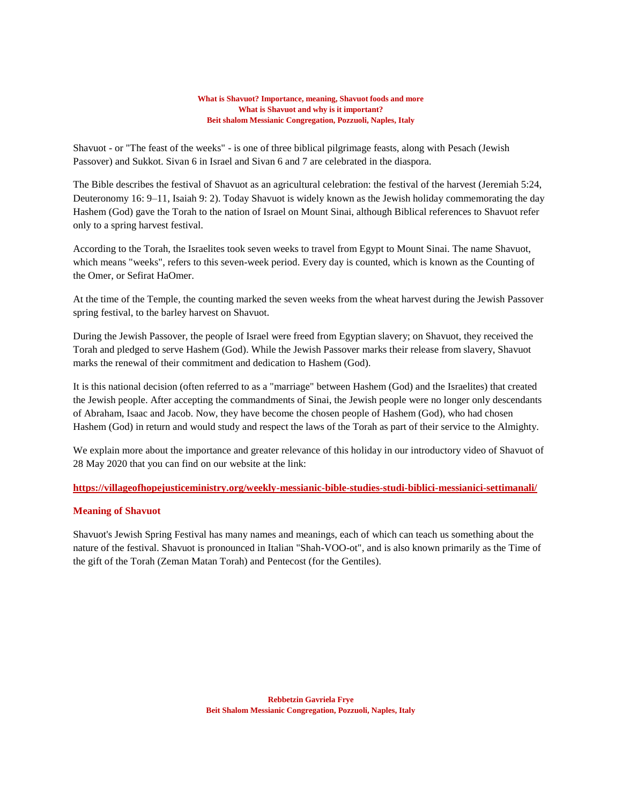#### **What is Shavuot? Importance, meaning, Shavuot foods and more What is Shavuot and why is it important? Beit shalom Messianic Congregation, Pozzuoli, Naples, Italy**

Shavuot - or "The feast of the weeks" - is one of three biblical pilgrimage feasts, along with Pesach (Jewish Passover) and Sukkot. Sivan 6 in Israel and Sivan 6 and 7 are celebrated in the diaspora.

The Bible describes the festival of Shavuot as an agricultural celebration: the festival of the harvest (Jeremiah 5:24, Deuteronomy 16: 9–11, Isaiah 9: 2). Today Shavuot is widely known as the Jewish holiday commemorating the day Hashem (God) gave the Torah to the nation of Israel on Mount Sinai, although Biblical references to Shavuot refer only to a spring harvest festival.

According to the Torah, the Israelites took seven weeks to travel from Egypt to Mount Sinai. The name Shavuot, which means "weeks", refers to this seven-week period. Every day is counted, which is known as the Counting of the Omer, or Sefirat HaOmer.

At the time of the Temple, the counting marked the seven weeks from the wheat harvest during the Jewish Passover spring festival, to the barley harvest on Shavuot.

During the Jewish Passover, the people of Israel were freed from Egyptian slavery; on Shavuot, they received the Torah and pledged to serve Hashem (God). While the Jewish Passover marks their release from slavery, Shavuot marks the renewal of their commitment and dedication to Hashem (God).

It is this national decision (often referred to as a "marriage" between Hashem (God) and the Israelites) that created the Jewish people. After accepting the commandments of Sinai, the Jewish people were no longer only descendants of Abraham, Isaac and Jacob. Now, they have become the chosen people of Hashem (God), who had chosen Hashem (God) in return and would study and respect the laws of the Torah as part of their service to the Almighty.

We explain more about the importance and greater relevance of this holiday in our introductory video of Shavuot of 28 May 2020 that you can find on our website at the link:

## **<https://villageofhopejusticeministry.org/weekly-messianic-bible-studies-studi-biblici-messianici-settimanali/>**

## **Meaning of Shavuot**

Shavuot's Jewish Spring Festival has many names and meanings, each of which can teach us something about the nature of the festival. Shavuot is pronounced in Italian "Shah-VOO-ot", and is also known primarily as the Time of the gift of the Torah (Zeman Matan Torah) and Pentecost (for the Gentiles).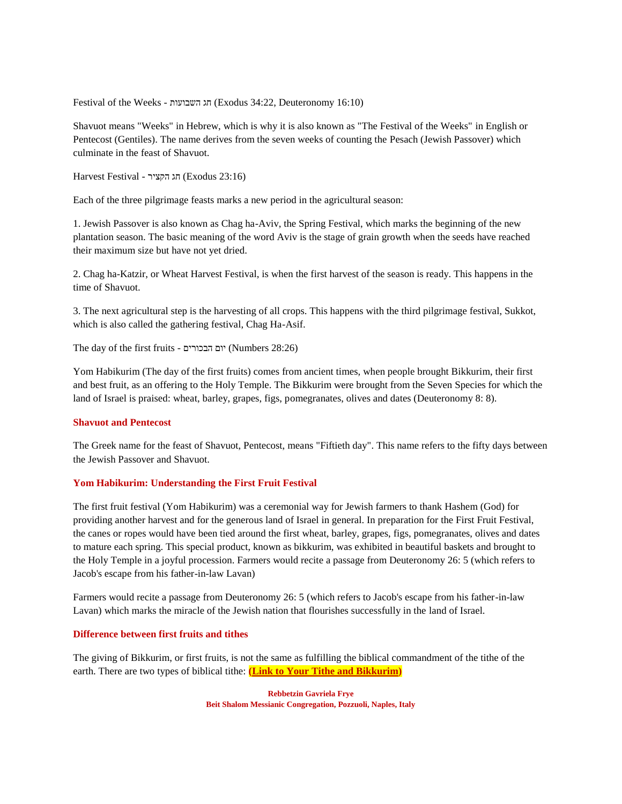Festival of the Weeks - השבועות חג) Exodus 34:22, Deuteronomy 16:10)

Shavuot means "Weeks" in Hebrew, which is why it is also known as "The Festival of the Weeks" in English or Pentecost (Gentiles). The name derives from the seven weeks of counting the Pesach (Jewish Passover) which culminate in the feast of Shavuot.

Harvest Festival - הקציר חג) Exodus 23:16)

Each of the three pilgrimage feasts marks a new period in the agricultural season:

1. Jewish Passover is also known as Chag ha-Aviv, the Spring Festival, which marks the beginning of the new plantation season. The basic meaning of the word Aviv is the stage of grain growth when the seeds have reached their maximum size but have not yet dried.

2. Chag ha-Katzir, or Wheat Harvest Festival, is when the first harvest of the season is ready. This happens in the time of Shavuot.

3. The next agricultural step is the harvesting of all crops. This happens with the third pilgrimage festival, Sukkot, which is also called the gathering festival, Chag Ha-Asif.

The day of the first fruits - יום הבכורים (Numbers 28:26)

Yom Habikurim (The day of the first fruits) comes from ancient times, when people brought Bikkurim, their first and best fruit, as an offering to the Holy Temple. The Bikkurim were brought from the Seven Species for which the land of Israel is praised: wheat, barley, grapes, figs, pomegranates, olives and dates (Deuteronomy 8: 8).

#### **Shavuot and Pentecost**

The Greek name for the feast of Shavuot, Pentecost, means "Fiftieth day". This name refers to the fifty days between the Jewish Passover and Shavuot.

#### **Yom Habikurim: Understanding the First Fruit Festival**

The first fruit festival (Yom Habikurim) was a ceremonial way for Jewish farmers to thank Hashem (God) for providing another harvest and for the generous land of Israel in general. In preparation for the First Fruit Festival, the canes or ropes would have been tied around the first wheat, barley, grapes, figs, pomegranates, olives and dates to mature each spring. This special product, known as bikkurim, was exhibited in beautiful baskets and brought to the Holy Temple in a joyful procession. Farmers would recite a passage from Deuteronomy 26: 5 (which refers to Jacob's escape from his father-in-law Lavan)

Farmers would recite a passage from Deuteronomy 26: 5 (which refers to Jacob's escape from his father-in-law Lavan) which marks the miracle of the Jewish nation that flourishes successfully in the land of Israel.

#### **Difference between first fruits and tithes**

The giving of Bikkurim, or first fruits, is not the same as fulfilling the biblical commandment of the tithe of the earth. There are two types of biblical tithe: **[\(Link to Your Tithe and Bikkurim\)](https://villageofhopejusticeministry.org/donation-donazione/)**

> **Rebbetzin Gavriela Frye Beit Shalom Messianic Congregation, Pozzuoli, Naples, Italy**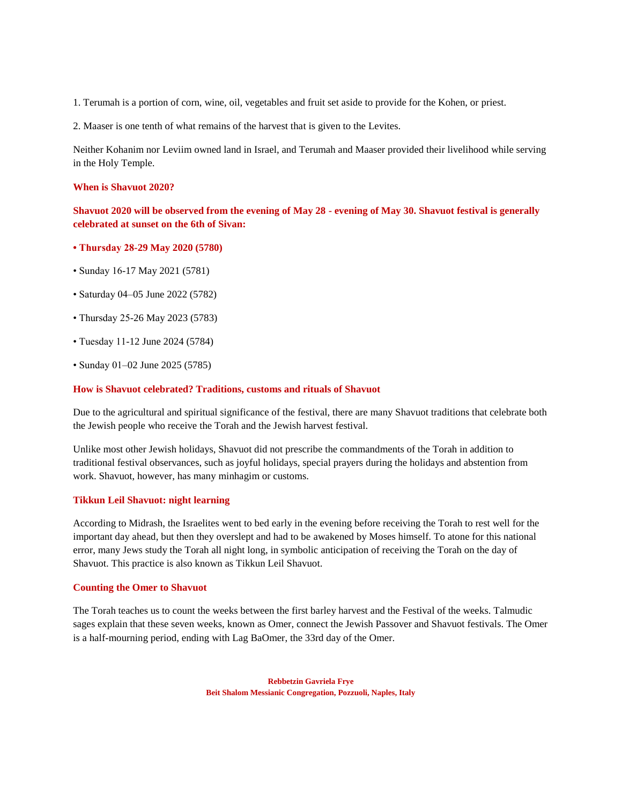1. Terumah is a portion of corn, wine, oil, vegetables and fruit set aside to provide for the Kohen, or priest.

2. Maaser is one tenth of what remains of the harvest that is given to the Levites.

Neither Kohanim nor Leviim owned land in Israel, and Terumah and Maaser provided their livelihood while serving in the Holy Temple.

## **When is Shavuot 2020?**

**Shavuot 2020 will be observed from the evening of May 28 - evening of May 30. Shavuot festival is generally celebrated at sunset on the 6th of Sivan:**

- **Thursday 28-29 May 2020 (5780)**
- Sunday 16-17 May 2021 (5781)
- Saturday 04–05 June 2022 (5782)
- Thursday 25-26 May 2023 (5783)
- Tuesday 11-12 June 2024 (5784)
- Sunday 01–02 June 2025 (5785)

## **How is Shavuot celebrated? Traditions, customs and rituals of Shavuot**

Due to the agricultural and spiritual significance of the festival, there are many Shavuot traditions that celebrate both the Jewish people who receive the Torah and the Jewish harvest festival.

Unlike most other Jewish holidays, Shavuot did not prescribe the commandments of the Torah in addition to traditional festival observances, such as joyful holidays, special prayers during the holidays and abstention from work. Shavuot, however, has many minhagim or customs.

## **Tikkun Leil Shavuot: night learning**

According to Midrash, the Israelites went to bed early in the evening before receiving the Torah to rest well for the important day ahead, but then they overslept and had to be awakened by Moses himself. To atone for this national error, many Jews study the Torah all night long, in symbolic anticipation of receiving the Torah on the day of Shavuot. This practice is also known as Tikkun Leil Shavuot.

### **Counting the Omer to Shavuot**

The Torah teaches us to count the weeks between the first barley harvest and the Festival of the weeks. Talmudic sages explain that these seven weeks, known as Omer, connect the Jewish Passover and Shavuot festivals. The Omer is a half-mourning period, ending with Lag BaOmer, the 33rd day of the Omer.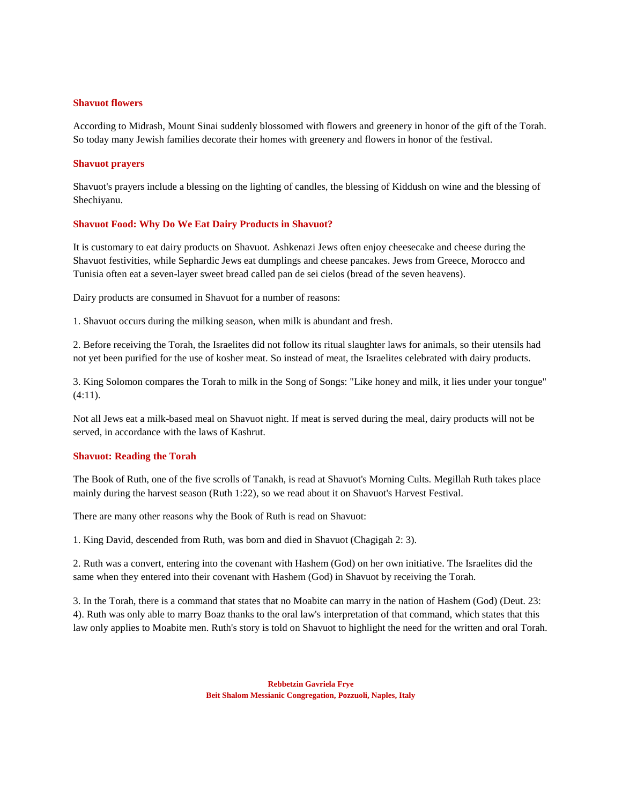#### **Shavuot flowers**

According to Midrash, Mount Sinai suddenly blossomed with flowers and greenery in honor of the gift of the Torah. So today many Jewish families decorate their homes with greenery and flowers in honor of the festival.

#### **Shavuot prayers**

Shavuot's prayers include a blessing on the lighting of candles, the blessing of Kiddush on wine and the blessing of Shechiyanu.

#### **Shavuot Food: Why Do We Eat Dairy Products in Shavuot?**

It is customary to eat dairy products on Shavuot. Ashkenazi Jews often enjoy cheesecake and cheese during the Shavuot festivities, while Sephardic Jews eat dumplings and cheese pancakes. Jews from Greece, Morocco and Tunisia often eat a seven-layer sweet bread called pan de sei cielos (bread of the seven heavens).

Dairy products are consumed in Shavuot for a number of reasons:

1. Shavuot occurs during the milking season, when milk is abundant and fresh.

2. Before receiving the Torah, the Israelites did not follow its ritual slaughter laws for animals, so their utensils had not yet been purified for the use of kosher meat. So instead of meat, the Israelites celebrated with dairy products.

3. King Solomon compares the Torah to milk in the Song of Songs: "Like honey and milk, it lies under your tongue" (4:11).

Not all Jews eat a milk-based meal on Shavuot night. If meat is served during the meal, dairy products will not be served, in accordance with the laws of Kashrut.

#### **Shavuot: Reading the Torah**

The Book of Ruth, one of the five scrolls of Tanakh, is read at Shavuot's Morning Cults. Megillah Ruth takes place mainly during the harvest season (Ruth 1:22), so we read about it on Shavuot's Harvest Festival.

There are many other reasons why the Book of Ruth is read on Shavuot:

1. King David, descended from Ruth, was born and died in Shavuot (Chagigah 2: 3).

2. Ruth was a convert, entering into the covenant with Hashem (God) on her own initiative. The Israelites did the same when they entered into their covenant with Hashem (God) in Shavuot by receiving the Torah.

3. In the Torah, there is a command that states that no Moabite can marry in the nation of Hashem (God) (Deut. 23: 4). Ruth was only able to marry Boaz thanks to the oral law's interpretation of that command, which states that this law only applies to Moabite men. Ruth's story is told on Shavuot to highlight the need for the written and oral Torah.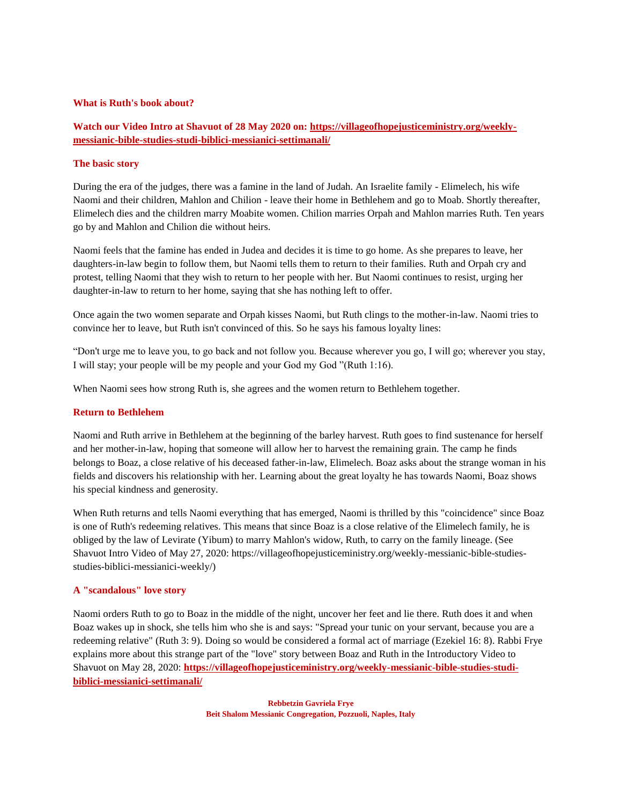## **What is Ruth's book about?**

# **Watch our Video Intro at Shavuot of 28 May 2020 on: [https://villageofhopejusticeministry.org/weekly](https://villageofhopejusticeministry.org/weekly-messianic-bible-studies-studi-biblici-messianici-settimanali/)[messianic-bible-studies-studi-biblici-messianici-settimanali/](https://villageofhopejusticeministry.org/weekly-messianic-bible-studies-studi-biblici-messianici-settimanali/)**

## **The basic story**

During the era of the judges, there was a famine in the land of Judah. An Israelite family - Elimelech, his wife Naomi and their children, Mahlon and Chilion - leave their home in Bethlehem and go to Moab. Shortly thereafter, Elimelech dies and the children marry Moabite women. Chilion marries Orpah and Mahlon marries Ruth. Ten years go by and Mahlon and Chilion die without heirs.

Naomi feels that the famine has ended in Judea and decides it is time to go home. As she prepares to leave, her daughters-in-law begin to follow them, but Naomi tells them to return to their families. Ruth and Orpah cry and protest, telling Naomi that they wish to return to her people with her. But Naomi continues to resist, urging her daughter-in-law to return to her home, saying that she has nothing left to offer.

Once again the two women separate and Orpah kisses Naomi, but Ruth clings to the mother-in-law. Naomi tries to convince her to leave, but Ruth isn't convinced of this. So he says his famous loyalty lines:

"Don't urge me to leave you, to go back and not follow you. Because wherever you go, I will go; wherever you stay, I will stay; your people will be my people and your God my God "(Ruth 1:16).

When Naomi sees how strong Ruth is, she agrees and the women return to Bethlehem together.

### **Return to Bethlehem**

Naomi and Ruth arrive in Bethlehem at the beginning of the barley harvest. Ruth goes to find sustenance for herself and her mother-in-law, hoping that someone will allow her to harvest the remaining grain. The camp he finds belongs to Boaz, a close relative of his deceased father-in-law, Elimelech. Boaz asks about the strange woman in his fields and discovers his relationship with her. Learning about the great loyalty he has towards Naomi, Boaz shows his special kindness and generosity.

When Ruth returns and tells Naomi everything that has emerged, Naomi is thrilled by this "coincidence" since Boaz is one of Ruth's redeeming relatives. This means that since Boaz is a close relative of the Elimelech family, he is obliged by the law of Levirate (Yibum) to marry Mahlon's widow, Ruth, to carry on the family lineage. (See Shavuot Intro Video of May 27, 2020: https://villageofhopejusticeministry.org/weekly-messianic-bible-studiesstudies-biblici-messianici-weekly/)

### **A "scandalous" love story**

Naomi orders Ruth to go to Boaz in the middle of the night, uncover her feet and lie there. Ruth does it and when Boaz wakes up in shock, she tells him who she is and says: "Spread your tunic on your servant, because you are a redeeming relative" (Ruth 3: 9). Doing so would be considered a formal act of marriage (Ezekiel 16: 8). Rabbi Frye explains more about this strange part of the "love" story between Boaz and Ruth in the Introductory Video to Shavuot on May 28, 2020: **[https://villageofhopejusticeministry.org/weekly-messianic-bible-studies-studi](https://villageofhopejusticeministry.org/weekly-messianic-bible-studies-studi-biblici-messianici-settimanali/)[biblici-messianici-settimanali/](https://villageofhopejusticeministry.org/weekly-messianic-bible-studies-studi-biblici-messianici-settimanali/)**